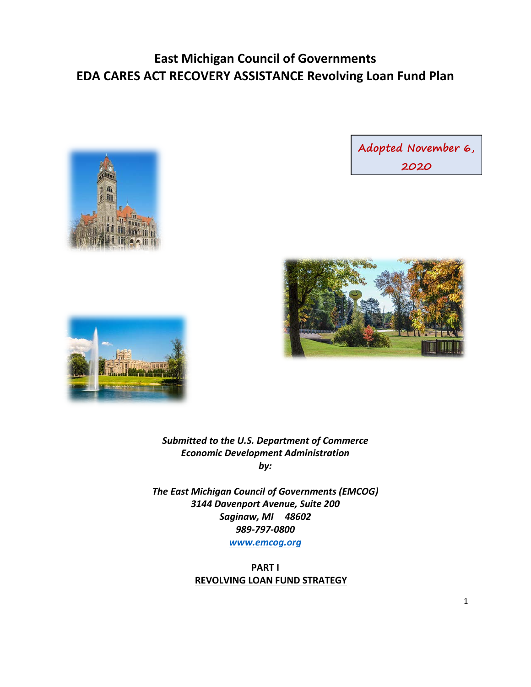# **East Michigan Council of Governments EDA CARES ACT RECOVERY ASSISTANCE Revolving Loan Fund Plan**









*Submitted to the U.S. Department of Commerce Economic Development Administration by:*

*The East Michigan Council of Governments (EMCOG) 3144 Davenport Avenue, Suite 200 Saginaw, MI 48602 989-797-0800*

*[www.emcog.org](http://www.emcog.org/)*

**PART I REVOLVING LOAN FUND STRATEGY**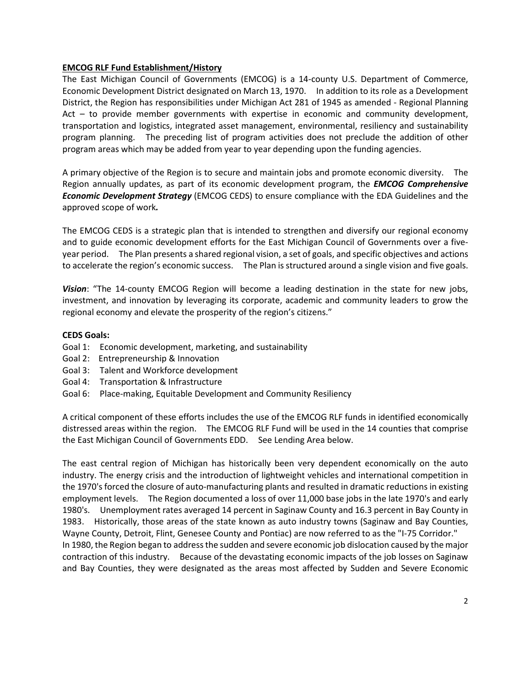### **EMCOG RLF Fund Establishment/History**

The East Michigan Council of Governments (EMCOG) is a 14-county U.S. Department of Commerce, Economic Development District designated on March 13, 1970. In addition to its role as a Development District, the Region has responsibilities under Michigan Act 281 of 1945 as amended - Regional Planning Act – to provide member governments with expertise in economic and community development, transportation and logistics, integrated asset management, environmental, resiliency and sustainability program planning. The preceding list of program activities does not preclude the addition of other program areas which may be added from year to year depending upon the funding agencies.

A primary objective of the Region is to secure and maintain jobs and promote economic diversity. The Region annually updates, as part of its economic development program, the *EMCOG Comprehensive Economic Development Strategy* (EMCOG CEDS) to ensure compliance with the EDA Guidelines and the approved scope of work*.* 

The EMCOG CEDS is a strategic plan that is intended to strengthen and diversify our regional economy and to guide economic development efforts for the East Michigan Council of Governments over a fiveyear period. The Plan presents a shared regional vision, a set of goals, and specific objectives and actions to accelerate the region's economic success. The Plan is structured around a single vision and five goals.

*Vision*: "The 14-county EMCOG Region will become a leading destination in the state for new jobs, investment, and innovation by leveraging its corporate, academic and community leaders to grow the regional economy and elevate the prosperity of the region's citizens."

### **CEDS Goals:**

- Goal 1: Economic development, marketing, and sustainability
- Goal 2: Entrepreneurship & Innovation
- Goal 3: Talent and Workforce development
- Goal 4: Transportation & Infrastructure
- Goal 6: Place-making, Equitable Development and Community Resiliency

A critical component of these efforts includes the use of the EMCOG RLF funds in identified economically distressed areas within the region. The EMCOG RLF Fund will be used in the 14 counties that comprise the East Michigan Council of Governments EDD. See Lending Area below.

The east central region of Michigan has historically been very dependent economically on the auto industry. The energy crisis and the introduction of lightweight vehicles and international competition in the 1970's forced the closure of auto-manufacturing plants and resulted in dramatic reductions in existing employment levels. The Region documented a loss of over 11,000 base jobs in the late 1970's and early 1980's. Unemployment rates averaged 14 percent in Saginaw County and 16.3 percent in Bay County in 1983. Historically, those areas of the state known as auto industry towns (Saginaw and Bay Counties, Wayne County, Detroit, Flint, Genesee County and Pontiac) are now referred to as the "I-75 Corridor." In 1980, the Region began to address the sudden and severe economic job dislocation caused by the major contraction of this industry. Because of the devastating economic impacts of the job losses on Saginaw and Bay Counties, they were designated as the areas most affected by Sudden and Severe Economic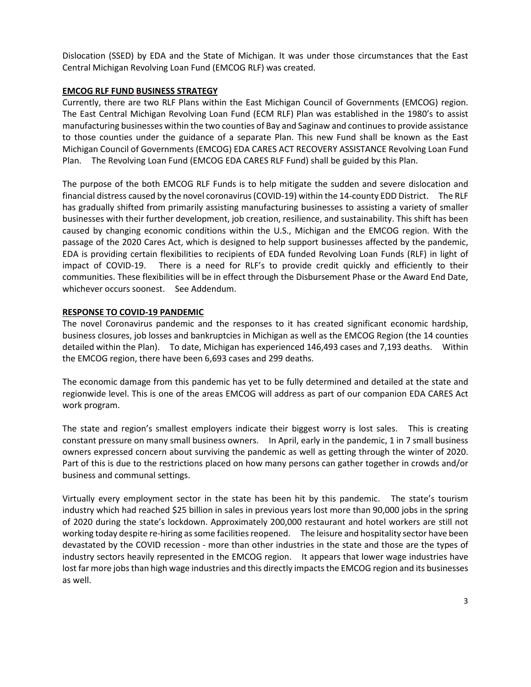Dislocation (SSED) by EDA and the State of Michigan. It was under those circumstances that the East Central Michigan Revolving Loan Fund (EMCOG RLF) was created.

### **EMCOG RLF FUND BUSINESS STRATEGY**

Currently, there are two RLF Plans within the East Michigan Council of Governments (EMCOG) region. The East Central Michigan Revolving Loan Fund (ECM RLF) Plan was established in the 1980's to assist manufacturing businesses within the two counties of Bay and Saginaw and continues to provide assistance to those counties under the guidance of a separate Plan. This new Fund shall be known as the East Michigan Council of Governments (EMCOG) EDA CARES ACT RECOVERY ASSISTANCE Revolving Loan Fund Plan. The Revolving Loan Fund (EMCOG EDA CARES RLF Fund) shall be guided by this Plan.

The purpose of the both EMCOG RLF Funds is to help mitigate the sudden and severe dislocation and financial distress caused by the novel coronavirus (COVID-19) within the 14-county EDD District. The RLF has gradually shifted from primarily assisting manufacturing businesses to assisting a variety of smaller businesses with their further development, job creation, resilience, and sustainability. This shift has been caused by changing economic conditions within the U.S., Michigan and the EMCOG region. With the passage of the 2020 Cares Act, which is designed to help support businesses affected by the pandemic, EDA is providing certain flexibilities to recipients of EDA funded Revolving Loan Funds (RLF) in light of impact of COVID-19. There is a need for RLF's to provide credit quickly and efficiently to their communities. These flexibilities will be in effect through the Disbursement Phase or the Award End Date, whichever occurs soonest. See Addendum.

# **RESPONSE TO COVID-19 PANDEMIC**

The novel Coronavirus pandemic and the responses to it has created significant economic hardship, business closures, job losses and bankruptcies in Michigan as well as the EMCOG Region (the 14 counties detailed within the Plan). To date, Michigan has experienced 146,493 cases and 7,193 deaths. Within the EMCOG region, there have been 6,693 cases and 299 deaths.

The economic damage from this pandemic has yet to be fully determined and detailed at the state and regionwide level. This is one of the areas EMCOG will address as part of our companion EDA CARES Act work program.

The state and region's smallest employers indicate their biggest worry is lost sales. This is creating constant pressure on many small business owners. In April, early in the pandemic, 1 in 7 small business owners expressed concern about surviving the pandemic as well as getting through the winter of 2020. Part of this is due to the restrictions placed on how many persons can gather together in crowds and/or business and communal settings.

Virtually every employment sector in the state has been hit by this pandemic. The state's tourism industry which had reached \$25 billion in sales in previous years lost more than 90,000 jobs in the spring of 2020 during the state's lockdown. Approximately 200,000 restaurant and hotel workers are still not working today despite re-hiring as some facilities reopened. The leisure and hospitality sector have been devastated by the COVID recession - more than other industries in the state and those are the types of industry sectors heavily represented in the EMCOG region. It appears that lower wage industries have lost far more jobs than high wage industries and this directly impacts the EMCOG region and its businesses as well.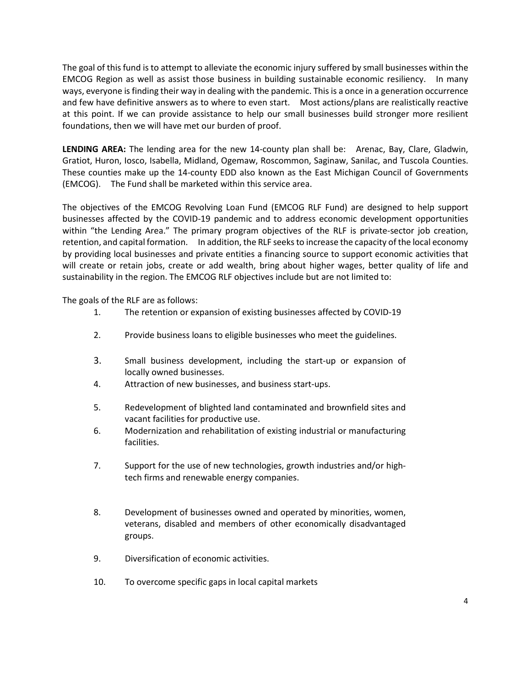The goal of this fund is to attempt to alleviate the economic injury suffered by small businesses within the EMCOG Region as well as assist those business in building sustainable economic resiliency. In many ways, everyone is finding their way in dealing with the pandemic. This is a once in a generation occurrence and few have definitive answers as to where to even start. Most actions/plans are realistically reactive at this point. If we can provide assistance to help our small businesses build stronger more resilient foundations, then we will have met our burden of proof.

**LENDING AREA:** The lending area for the new 14-county plan shall be: Arenac, Bay, Clare, Gladwin, Gratiot, Huron, Iosco, Isabella, Midland, Ogemaw, Roscommon, Saginaw, Sanilac, and Tuscola Counties. These counties make up the 14-county EDD also known as the East Michigan Council of Governments (EMCOG). The Fund shall be marketed within this service area.

The objectives of the EMCOG Revolving Loan Fund (EMCOG RLF Fund) are designed to help support businesses affected by the COVID-19 pandemic and to address economic development opportunities within "the Lending Area." The primary program objectives of the RLF is private-sector job creation, retention, and capital formation. In addition, the RLF seeks to increase the capacity of the local economy by providing local businesses and private entities a financing source to support economic activities that will create or retain jobs, create or add wealth, bring about higher wages, better quality of life and sustainability in the region. The EMCOG RLF objectives include but are not limited to:

The goals of the RLF are as follows:

- 1. The retention or expansion of existing businesses affected by COVID-19
- 2. Provide business loans to eligible businesses who meet the guidelines.
- 3. Small business development, including the start-up or expansion of locally owned businesses.
- 4. Attraction of new businesses, and business start-ups.
- 5. Redevelopment of blighted land contaminated and brownfield sites and vacant facilities for productive use.
- 6. Modernization and rehabilitation of existing industrial or manufacturing facilities.
- 7. Support for the use of new technologies, growth industries and/or hightech firms and renewable energy companies.
- 8. Development of businesses owned and operated by minorities, women, veterans, disabled and members of other economically disadvantaged groups.
- 9. Diversification of economic activities.
- 10. To overcome specific gaps in local capital markets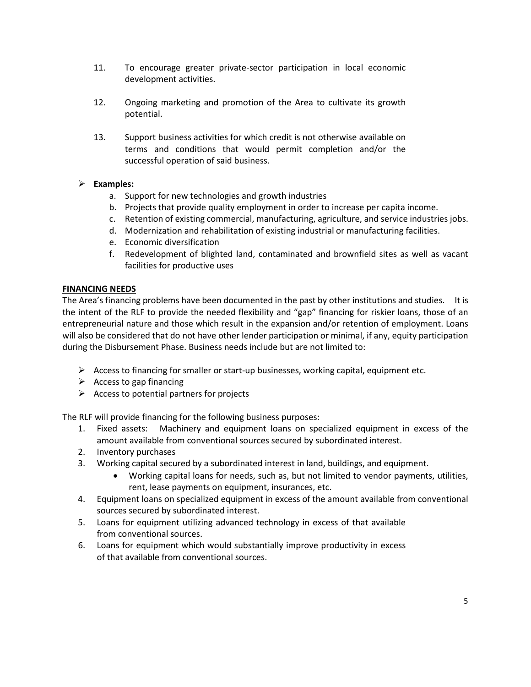- 11. To encourage greater private-sector participation in local economic development activities.
- 12. Ongoing marketing and promotion of the Area to cultivate its growth potential.
- 13. Support business activities for which credit is not otherwise available on terms and conditions that would permit completion and/or the successful operation of said business.

# **Examples:**

- a. Support for new technologies and growth industries
- b. Projects that provide quality employment in order to increase per capita income.
- c. Retention of existing commercial, manufacturing, agriculture, and service industries jobs.
- d. Modernization and rehabilitation of existing industrial or manufacturing facilities.
- e. Economic diversification
- f. Redevelopment of blighted land, contaminated and brownfield sites as well as vacant facilities for productive uses

### **FINANCING NEEDS**

The Area's financing problems have been documented in the past by other institutions and studies. It is the intent of the RLF to provide the needed flexibility and "gap" financing for riskier loans, those of an entrepreneurial nature and those which result in the expansion and/or retention of employment. Loans will also be considered that do not have other lender participation or minimal, if any, equity participation during the Disbursement Phase. Business needs include but are not limited to:

- $\triangleright$  Access to financing for smaller or start-up businesses, working capital, equipment etc.
- $\triangleright$  Access to gap financing
- $\triangleright$  Access to potential partners for projects

The RLF will provide financing for the following business purposes:

- 1. Fixed assets: Machinery and equipment loans on specialized equipment in excess of the amount available from conventional sources secured by subordinated interest.
- 2. Inventory purchases
- 3. Working capital secured by a subordinated interest in land, buildings, and equipment.
	- Working capital loans for needs, such as, but not limited to vendor payments, utilities, rent, lease payments on equipment, insurances, etc.
- 4. Equipment loans on specialized equipment in excess of the amount available from conventional sources secured by subordinated interest.
- 5. Loans for equipment utilizing advanced technology in excess of that available from conventional sources.
- 6. Loans for equipment which would substantially improve productivity in excess of that available from conventional sources.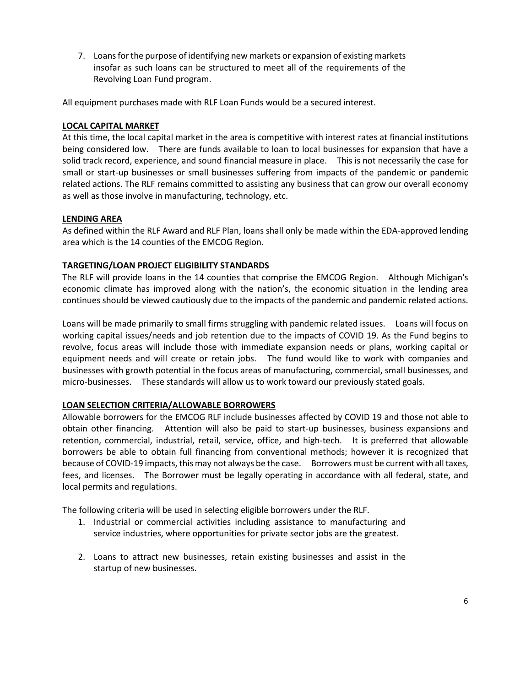7. Loans for the purpose of identifying new markets or expansion of existing markets insofar as such loans can be structured to meet all of the requirements of the Revolving Loan Fund program.

All equipment purchases made with RLF Loan Funds would be a secured interest.

### **LOCAL CAPITAL MARKET**

At this time, the local capital market in the area is competitive with interest rates at financial institutions being considered low. There are funds available to loan to local businesses for expansion that have a solid track record, experience, and sound financial measure in place. This is not necessarily the case for small or start-up businesses or small businesses suffering from impacts of the pandemic or pandemic related actions. The RLF remains committed to assisting any business that can grow our overall economy as well as those involve in manufacturing, technology, etc.

### **LENDING AREA**

As defined within the RLF Award and RLF Plan, loans shall only be made within the EDA-approved lending area which is the 14 counties of the EMCOG Region.

### **TARGETING/LOAN PROJECT ELIGIBILITY STANDARDS**

The RLF will provide loans in the 14 counties that comprise the EMCOG Region. Although Michigan's economic climate has improved along with the nation's, the economic situation in the lending area continues should be viewed cautiously due to the impacts of the pandemic and pandemic related actions.

Loans will be made primarily to small firms struggling with pandemic related issues. Loans will focus on working capital issues/needs and job retention due to the impacts of COVID 19. As the Fund begins to revolve, focus areas will include those with immediate expansion needs or plans, working capital or equipment needs and will create or retain jobs. The fund would like to work with companies and businesses with growth potential in the focus areas of manufacturing, commercial, small businesses, and micro-businesses. These standards will allow us to work toward our previously stated goals.

### **LOAN SELECTION CRITERIA/ALLOWABLE BORROWERS**

Allowable borrowers for the EMCOG RLF include businesses affected by COVID 19 and those not able to obtain other financing. Attention will also be paid to start-up businesses, business expansions and retention, commercial, industrial, retail, service, office, and high-tech. It is preferred that allowable borrowers be able to obtain full financing from conventional methods; however it is recognized that because of COVID-19 impacts, this may not always be the case. Borrowers must be current with all taxes, fees, and licenses. The Borrower must be legally operating in accordance with all federal, state, and local permits and regulations.

The following criteria will be used in selecting eligible borrowers under the RLF.

- 1. Industrial or commercial activities including assistance to manufacturing and service industries, where opportunities for private sector jobs are the greatest.
- 2. Loans to attract new businesses, retain existing businesses and assist in the startup of new businesses.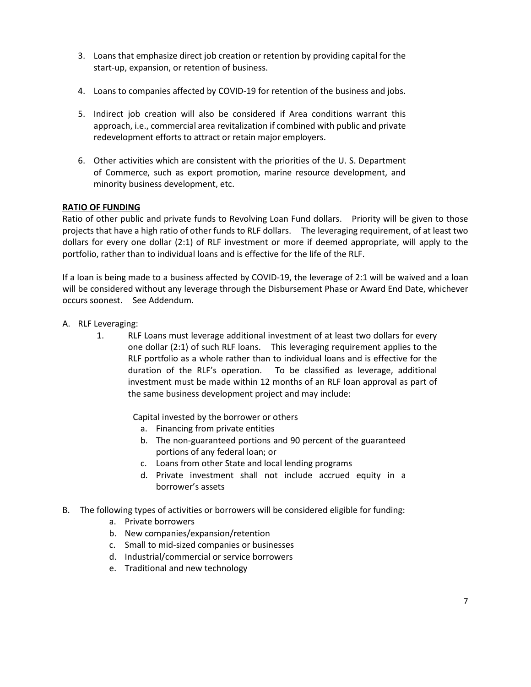- 3. Loans that emphasize direct job creation or retention by providing capital for the start-up, expansion, or retention of business.
- 4. Loans to companies affected by COVID-19 for retention of the business and jobs.
- 5. Indirect job creation will also be considered if Area conditions warrant this approach, i.e., commercial area revitalization if combined with public and private redevelopment efforts to attract or retain major employers.
- 6. Other activities which are consistent with the priorities of the U. S. Department of Commerce, such as export promotion, marine resource development, and minority business development, etc.

### **RATIO OF FUNDING**

Ratio of other public and private funds to Revolving Loan Fund dollars. Priority will be given to those projects that have a high ratio of other funds to RLF dollars. The leveraging requirement, of at least two dollars for every one dollar (2:1) of RLF investment or more if deemed appropriate, will apply to the portfolio, rather than to individual loans and is effective for the life of the RLF.

If a loan is being made to a business affected by COVID-19, the leverage of 2:1 will be waived and a loan will be considered without any leverage through the Disbursement Phase or Award End Date, whichever occurs soonest. See Addendum.

- A. RLF Leveraging:
	- 1. RLF Loans must leverage additional investment of at least two dollars for every one dollar (2:1) of such RLF loans. This leveraging requirement applies to the RLF portfolio as a whole rather than to individual loans and is effective for the duration of the RLF's operation. To be classified as leverage, additional investment must be made within 12 months of an RLF loan approval as part of the same business development project and may include:

Capital invested by the borrower or others

- a. Financing from private entities
- b. The non-guaranteed portions and 90 percent of the guaranteed portions of any federal loan; or
- c. Loans from other State and local lending programs
- d. Private investment shall not include accrued equity in a borrower's assets
- B. The following types of activities or borrowers will be considered eligible for funding:
	- a. Private borrowers
	- b. New companies/expansion/retention
	- c. Small to mid-sized companies or businesses
	- d. Industrial/commercial or service borrowers
	- e. Traditional and new technology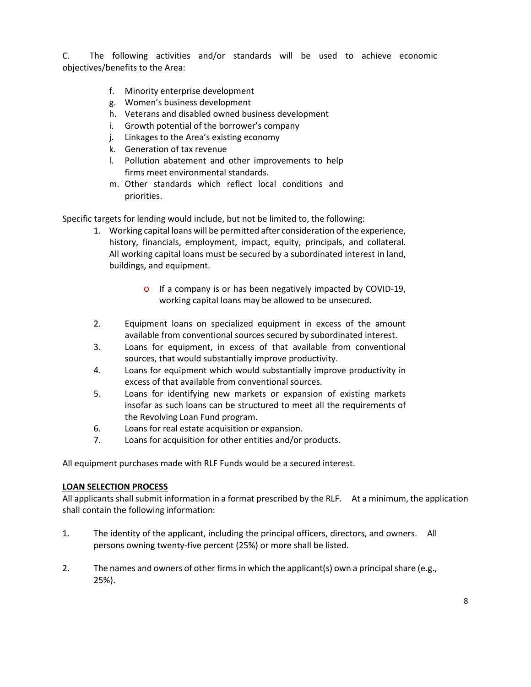C. The following activities and/or standards will be used to achieve economic objectives/benefits to the Area:

- f. Minority enterprise development
- g. Women's business development
- h. Veterans and disabled owned business development
- i. Growth potential of the borrower's company
- j. Linkages to the Area's existing economy
- k. Generation of tax revenue
- l. Pollution abatement and other improvements to help firms meet environmental standards.
- m. Other standards which reflect local conditions and priorities.

Specific targets for lending would include, but not be limited to, the following:

- 1. Working capital loans will be permitted after consideration of the experience, history, financials, employment, impact, equity, principals, and collateral. All working capital loans must be secured by a subordinated interest in land, buildings, and equipment.
	- o If a company is or has been negatively impacted by COVID-19, working capital loans may be allowed to be unsecured.
- 2. Equipment loans on specialized equipment in excess of the amount available from conventional sources secured by subordinated interest.
- 3. Loans for equipment, in excess of that available from conventional sources, that would substantially improve productivity.
- 4. Loans for equipment which would substantially improve productivity in excess of that available from conventional sources.
- 5. Loans for identifying new markets or expansion of existing markets insofar as such loans can be structured to meet all the requirements of the Revolving Loan Fund program.
- 6. Loans for real estate acquisition or expansion.
- 7. Loans for acquisition for other entities and/or products.

All equipment purchases made with RLF Funds would be a secured interest.

### **LOAN SELECTION PROCESS**

All applicants shall submit information in a format prescribed by the RLF. At a minimum, the application shall contain the following information:

- 1. The identity of the applicant, including the principal officers, directors, and owners. All persons owning twenty-five percent (25%) or more shall be listed.
- 2. The names and owners of other firms in which the applicant(s) own a principal share (e.g., 25%).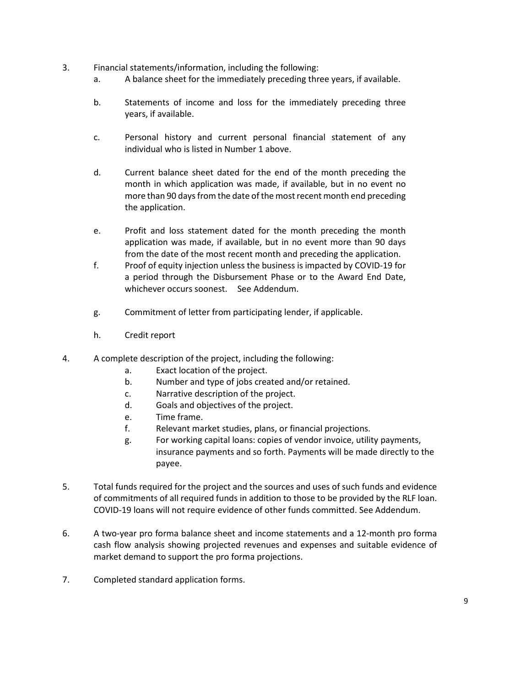- 3. Financial statements/information, including the following:
	- a. A balance sheet for the immediately preceding three years, if available.
	- b. Statements of income and loss for the immediately preceding three years, if available.
	- c. Personal history and current personal financial statement of any individual who is listed in Number 1 above.
	- d. Current balance sheet dated for the end of the month preceding the month in which application was made, if available, but in no event no more than 90 days from the date of the most recent month end preceding the application.
	- e. Profit and loss statement dated for the month preceding the month application was made, if available, but in no event more than 90 days from the date of the most recent month and preceding the application.
	- f. Proof of equity injection unless the business is impacted by COVID-19 for a period through the Disbursement Phase or to the Award End Date, whichever occurs soonest. See Addendum.
	- g. Commitment of letter from participating lender, if applicable.
	- h. Credit report
- 4. A complete description of the project, including the following:
	- a. Exact location of the project.
	- b. Number and type of jobs created and/or retained.
	- c. Narrative description of the project.
	- d. Goals and objectives of the project.
	- e. Time frame.
	- f. Relevant market studies, plans, or financial projections.
	- g. For working capital loans: copies of vendor invoice, utility payments, insurance payments and so forth. Payments will be made directly to the payee.
- 5. Total funds required for the project and the sources and uses of such funds and evidence of commitments of all required funds in addition to those to be provided by the RLF loan. COVID-19 loans will not require evidence of other funds committed. See Addendum.
- 6. A two-year pro forma balance sheet and income statements and a 12-month pro forma cash flow analysis showing projected revenues and expenses and suitable evidence of market demand to support the pro forma projections.
- 7. Completed standard application forms.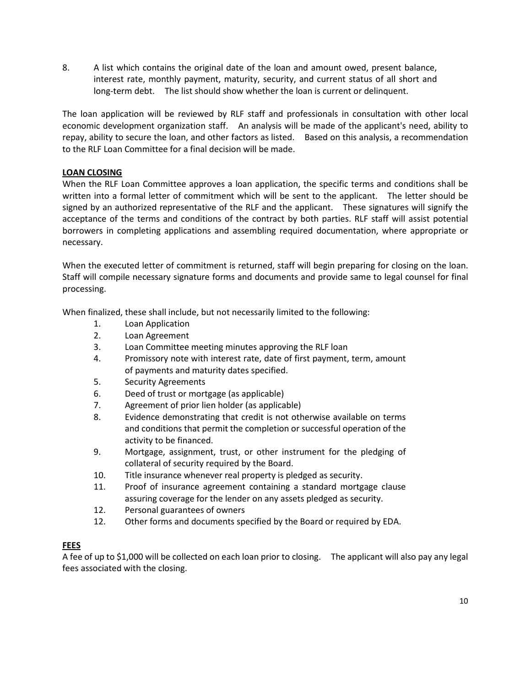8. A list which contains the original date of the loan and amount owed, present balance, interest rate, monthly payment, maturity, security, and current status of all short and long-term debt. The list should show whether the loan is current or delinquent.

The loan application will be reviewed by RLF staff and professionals in consultation with other local economic development organization staff. An analysis will be made of the applicant's need, ability to repay, ability to secure the loan, and other factors as listed. Based on this analysis, a recommendation to the RLF Loan Committee for a final decision will be made.

# **LOAN CLOSING**

When the RLF Loan Committee approves a loan application, the specific terms and conditions shall be written into a formal letter of commitment which will be sent to the applicant. The letter should be signed by an authorized representative of the RLF and the applicant. These signatures will signify the acceptance of the terms and conditions of the contract by both parties. RLF staff will assist potential borrowers in completing applications and assembling required documentation, where appropriate or necessary.

When the executed letter of commitment is returned, staff will begin preparing for closing on the loan. Staff will compile necessary signature forms and documents and provide same to legal counsel for final processing.

When finalized, these shall include, but not necessarily limited to the following:

- 1. Loan Application
- 2. Loan Agreement
- 3. Loan Committee meeting minutes approving the RLF loan
- 4. Promissory note with interest rate, date of first payment, term, amount of payments and maturity dates specified.
- 5. Security Agreements
- 6. Deed of trust or mortgage (as applicable)
- 7. Agreement of prior lien holder (as applicable)
- 8. Evidence demonstrating that credit is not otherwise available on terms and conditions that permit the completion or successful operation of the activity to be financed.
- 9. Mortgage, assignment, trust, or other instrument for the pledging of collateral of security required by the Board.
- 10. Title insurance whenever real property is pledged as security.
- 11. Proof of insurance agreement containing a standard mortgage clause assuring coverage for the lender on any assets pledged as security.
- 12. Personal guarantees of owners
- 12. Other forms and documents specified by the Board or required by EDA.

# **FEES**

A fee of up to \$1,000 will be collected on each loan prior to closing. The applicant will also pay any legal fees associated with the closing.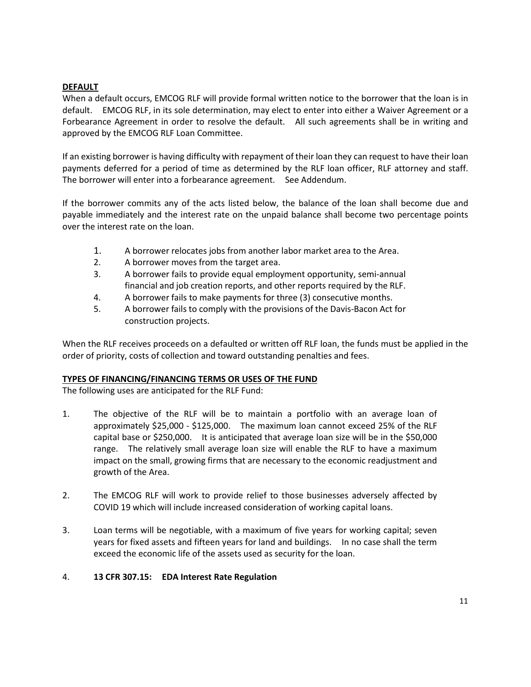### **DEFAULT**

When a default occurs, EMCOG RLF will provide formal written notice to the borrower that the loan is in default. EMCOG RLF, in its sole determination, may elect to enter into either a Waiver Agreement or a Forbearance Agreement in order to resolve the default. All such agreements shall be in writing and approved by the EMCOG RLF Loan Committee.

If an existing borrower is having difficulty with repayment of their loan they can request to have their loan payments deferred for a period of time as determined by the RLF loan officer, RLF attorney and staff. The borrower will enter into a forbearance agreement. See Addendum.

If the borrower commits any of the acts listed below, the balance of the loan shall become due and payable immediately and the interest rate on the unpaid balance shall become two percentage points over the interest rate on the loan.

- 1. A borrower relocates jobs from another labor market area to the Area.
- 2. A borrower moves from the target area.
- 3. A borrower fails to provide equal employment opportunity, semi-annual financial and job creation reports, and other reports required by the RLF.
- 4. A borrower fails to make payments for three (3) consecutive months.
- 5. A borrower fails to comply with the provisions of the Davis-Bacon Act for construction projects.

When the RLF receives proceeds on a defaulted or written off RLF loan, the funds must be applied in the order of priority, costs of collection and toward outstanding penalties and fees.

### **TYPES OF FINANCING/FINANCING TERMS OR USES OF THE FUND**

The following uses are anticipated for the RLF Fund:

- 1. The objective of the RLF will be to maintain a portfolio with an average loan of approximately \$25,000 - \$125,000. The maximum loan cannot exceed 25% of the RLF capital base or \$250,000. It is anticipated that average loan size will be in the \$50,000 range. The relatively small average loan size will enable the RLF to have a maximum impact on the small, growing firms that are necessary to the economic readjustment and growth of the Area.
- 2. The EMCOG RLF will work to provide relief to those businesses adversely affected by COVID 19 which will include increased consideration of working capital loans.
- 3. Loan terms will be negotiable, with a maximum of five years for working capital; seven years for fixed assets and fifteen years for land and buildings. In no case shall the term exceed the economic life of the assets used as security for the loan.

### 4. **13 CFR 307.15: EDA Interest Rate Regulation**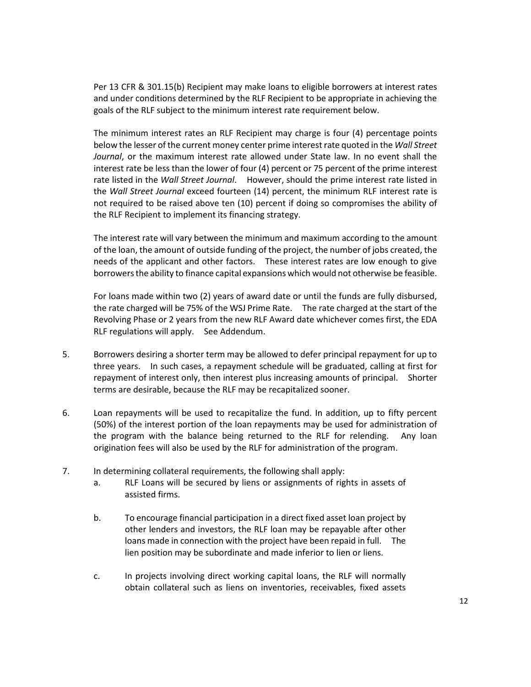Per 13 CFR & 301.15(b) Recipient may make loans to eligible borrowers at interest rates and under conditions determined by the RLF Recipient to be appropriate in achieving the goals of the RLF subject to the minimum interest rate requirement below.

The minimum interest rates an RLF Recipient may charge is four (4) percentage points below the lesser of the current money center prime interest rate quoted in the *Wall Street Journal*, or the maximum interest rate allowed under State law. In no event shall the interest rate be less than the lower of four (4) percent or 75 percent of the prime interest rate listed in the *Wall Street Journal*. However, should the prime interest rate listed in the *Wall Street Journal* exceed fourteen (14) percent, the minimum RLF interest rate is not required to be raised above ten (10) percent if doing so compromises the ability of the RLF Recipient to implement its financing strategy.

The interest rate will vary between the minimum and maximum according to the amount of the loan, the amount of outside funding of the project, the number of jobs created, the needs of the applicant and other factors. These interest rates are low enough to give borrowers the ability to finance capital expansions which would not otherwise be feasible.

For loans made within two (2) years of award date or until the funds are fully disbursed, the rate charged will be 75% of the WSJ Prime Rate. The rate charged at the start of the Revolving Phase or 2 years from the new RLF Award date whichever comes first, the EDA RLF regulations will apply. See Addendum.

- 5. Borrowers desiring a shorter term may be allowed to defer principal repayment for up to three years. In such cases, a repayment schedule will be graduated, calling at first for repayment of interest only, then interest plus increasing amounts of principal. Shorter terms are desirable, because the RLF may be recapitalized sooner.
- 6. Loan repayments will be used to recapitalize the fund. In addition, up to fifty percent (50%) of the interest portion of the loan repayments may be used for administration of the program with the balance being returned to the RLF for relending. Any loan origination fees will also be used by the RLF for administration of the program.
- 7. In determining collateral requirements, the following shall apply:
	- a. RLF Loans will be secured by liens or assignments of rights in assets of assisted firms.
	- b. To encourage financial participation in a direct fixed asset loan project by other lenders and investors, the RLF loan may be repayable after other loans made in connection with the project have been repaid in full. The lien position may be subordinate and made inferior to lien or liens.
	- c. In projects involving direct working capital loans, the RLF will normally obtain collateral such as liens on inventories, receivables, fixed assets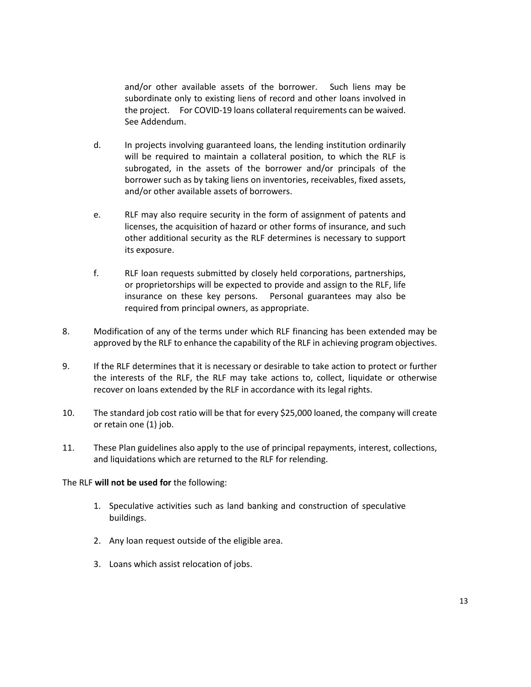and/or other available assets of the borrower. Such liens may be subordinate only to existing liens of record and other loans involved in the project. For COVID-19 loans collateral requirements can be waived. See Addendum.

- d. In projects involving guaranteed loans, the lending institution ordinarily will be required to maintain a collateral position, to which the RLF is subrogated, in the assets of the borrower and/or principals of the borrower such as by taking liens on inventories, receivables, fixed assets, and/or other available assets of borrowers.
- e. RLF may also require security in the form of assignment of patents and licenses, the acquisition of hazard or other forms of insurance, and such other additional security as the RLF determines is necessary to support its exposure.
- f. RLF loan requests submitted by closely held corporations, partnerships, or proprietorships will be expected to provide and assign to the RLF, life insurance on these key persons. Personal guarantees may also be required from principal owners, as appropriate.
- 8. Modification of any of the terms under which RLF financing has been extended may be approved by the RLF to enhance the capability of the RLF in achieving program objectives.
- 9. If the RLF determines that it is necessary or desirable to take action to protect or further the interests of the RLF, the RLF may take actions to, collect, liquidate or otherwise recover on loans extended by the RLF in accordance with its legal rights.
- 10. The standard job cost ratio will be that for every \$25,000 loaned, the company will create or retain one (1) job.
- 11. These Plan guidelines also apply to the use of principal repayments, interest, collections, and liquidations which are returned to the RLF for relending.

### The RLF **will not be used for** the following:

- 1. Speculative activities such as land banking and construction of speculative buildings.
- 2. Any loan request outside of the eligible area.
- 3. Loans which assist relocation of jobs.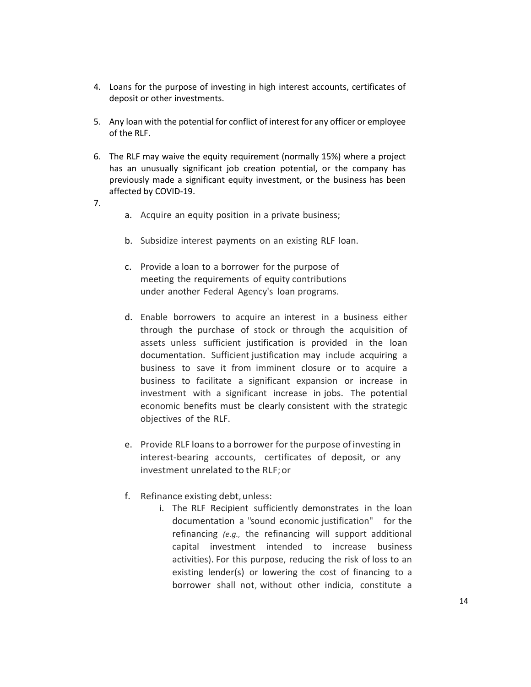- 4. Loans for the purpose of investing in high interest accounts, certificates of deposit or other investments.
- 5. Any loan with the potential for conflict of interest for any officer or employee of the RLF.
- 6. The RLF may waive the equity requirement (normally 15%) where a project has an unusually significant job creation potential, or the company has previously made a significant equity investment, or the business has been affected by COVID-19.
- 7.
- a. Acquire an equity position in a private business;
- b. Subsidize interest payments on an existing RLF loan.
- c. Provide a loan to a borrower for the purpose of meeting the requirements of equity contributions under another Federal Agency's loan programs.
- d. Enable borrowers to acquire an interest in a business either through the purchase of stock or through the acquisition of assets unless sufficient justification is provided in the loan documentation. Sufficient justification may include acquiring a business to save it from imminent closure or to acquire a business to facilitate a significant expansion or increase in investment with a significant increase in jobs. The potential economic benefits must be clearly consistent with the strategic objectives of the RLF.
- e. Provide RLF loans to a borrower for the purpose of investing in interest-bearing accounts, certificates of deposit, or any investment unrelated to the RLF;or
- f. Refinance existing debt,unless:
	- i. The RLF Recipient sufficiently demonstrates in the loan documentation a "sound economic justification" for the refinancing *(e.g.,* the refinancing will support additional capital investment intended to increase business activities). For this purpose, reducing the risk of loss to an existing lender(s) or lowering the cost of financing to a borrower shall not, without other indicia, constitute a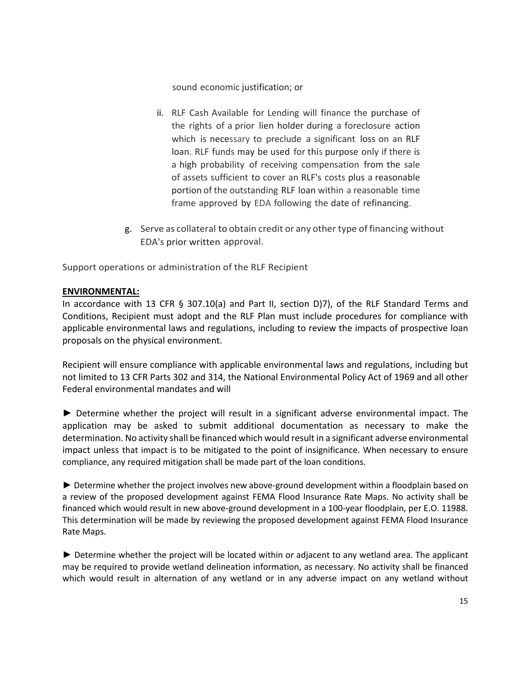sound economic justification; or

- ii. RLF Cash Available for Lending will finance the purchase of the rights of a prior lien holder during a foreclosure action which is necessary to preclude a significant loss on an RLF loan. RLF funds may be used for this purpose only if there is a high probability of receiving compensation from the sale of assets sufficient to cover an RLF's costs plus a reasonable portion of the outstanding RLF loan within a reasonable time frame approved by EDA following the date of refinancing.
- g. Serve as collateral to obtain credit or any other type of financing without EDA's prior written approval.

Support operations or administration of the RLF Recipient

# **ENVIRONMENTAL:**

In accordance with 13 CFR § 307.10(a) and Part II, section D)7), of the RLF Standard Terms and Conditions, Recipient must adopt and the RLF Plan must include procedures for compliance with applicable environmental laws and regulations, including to review the impacts of prospective loan proposals on the physical environment.

Recipient will ensure compliance with applicable environmental laws and regulations, including but not limited to 13 CFR Parts 302 and 314, the National Environmental Policy Act of 1969 and all other Federal environmental mandates and will

► Determine whether the project will result in a significant adverse environmental impact. The application may be asked to submit additional documentation as necessary to make the determination. No activity shall be financed which would result in a significant adverse environmental impact unless that impact is to be mitigated to the point of insignificance. When necessary to ensure compliance, any required mitigation shall be made part of the loan conditions.

► Determine whether the project involves new above-ground development within a floodplain based on a review of the proposed development against FEMA Flood Insurance Rate Maps. No activity shall be financed which would result in new above-ground development in a 100-year floodplain, per E.O. 11988. This determination will be made by reviewing the proposed development against FEMA Flood Insurance Rate Maps.

► Determine whether the project will be located within or adjacent to any wetland area. The applicant may be required to provide wetland delineation information, as necessary. No activity shall be financed which would result in alternation of any wetland or in any adverse impact on any wetland without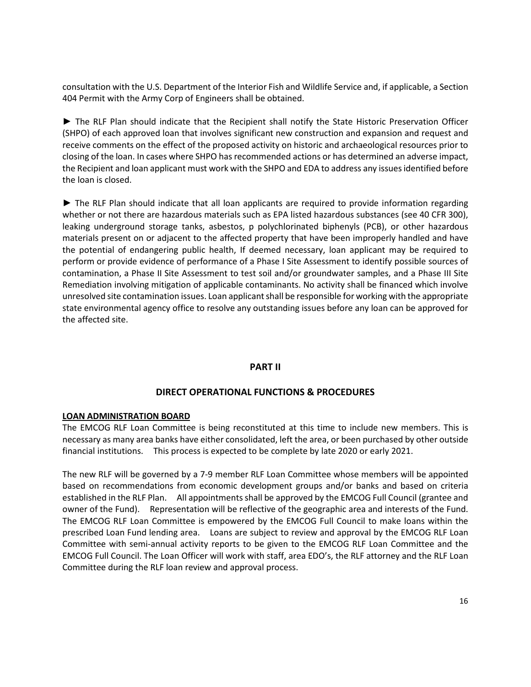consultation with the U.S. Department of the Interior Fish and Wildlife Service and, if applicable, a Section 404 Permit with the Army Corp of Engineers shall be obtained.

► The RLF Plan should indicate that the Recipient shall notify the State Historic Preservation Officer (SHPO) of each approved loan that involves significant new construction and expansion and request and receive comments on the effect of the proposed activity on historic and archaeological resources prior to closing of the loan. In cases where SHPO has recommended actions or has determined an adverse impact, the Recipient and loan applicant must work with the SHPO and EDA to address any issues identified before the loan is closed.

► The RLF Plan should indicate that all loan applicants are required to provide information regarding whether or not there are hazardous materials such as EPA listed hazardous substances (see 40 CFR 300), leaking underground storage tanks, asbestos, p polychlorinated biphenyls (PCB), or other hazardous materials present on or adjacent to the affected property that have been improperly handled and have the potential of endangering public health, If deemed necessary, loan applicant may be required to perform or provide evidence of performance of a Phase I Site Assessment to identify possible sources of contamination, a Phase II Site Assessment to test soil and/or groundwater samples, and a Phase III Site Remediation involving mitigation of applicable contaminants. No activity shall be financed which involve unresolved site contamination issues. Loan applicant shall be responsible for working with the appropriate state environmental agency office to resolve any outstanding issues before any loan can be approved for the affected site.

### **PART II**

### **DIRECT OPERATIONAL FUNCTIONS & PROCEDURES**

#### **LOAN ADMINISTRATION BOARD**

The EMCOG RLF Loan Committee is being reconstituted at this time to include new members. This is necessary as many area banks have either consolidated, left the area, or been purchased by other outside financial institutions. This process is expected to be complete by late 2020 or early 2021.

The new RLF will be governed by a 7-9 member RLF Loan Committee whose members will be appointed based on recommendations from economic development groups and/or banks and based on criteria established in the RLF Plan. All appointments shall be approved by the EMCOG Full Council (grantee and owner of the Fund). Representation will be reflective of the geographic area and interests of the Fund. The EMCOG RLF Loan Committee is empowered by the EMCOG Full Council to make loans within the prescribed Loan Fund lending area. Loans are subject to review and approval by the EMCOG RLF Loan Committee with semi-annual activity reports to be given to the EMCOG RLF Loan Committee and the EMCOG Full Council. The Loan Officer will work with staff, area EDO's, the RLF attorney and the RLF Loan Committee during the RLF loan review and approval process.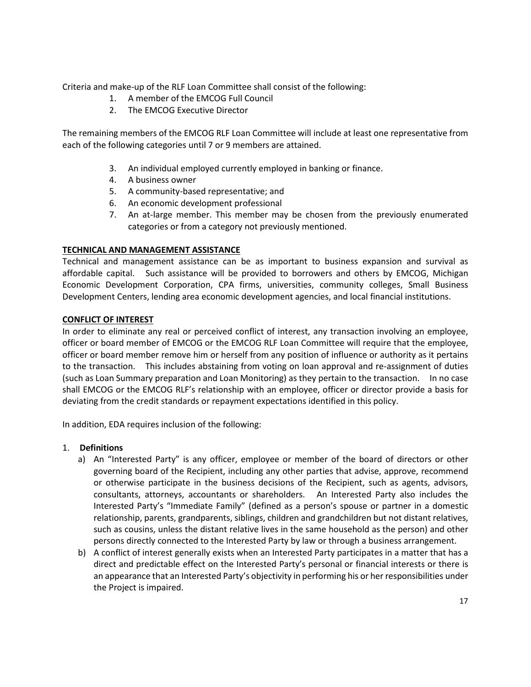Criteria and make-up of the RLF Loan Committee shall consist of the following:

- 1. A member of the EMCOG Full Council
- 2. The EMCOG Executive Director

The remaining members of the EMCOG RLF Loan Committee will include at least one representative from each of the following categories until 7 or 9 members are attained.

- 3. An individual employed currently employed in banking or finance.
- 4. A business owner
- 5. A community-based representative; and
- 6. An economic development professional
- 7. An at-large member. This member may be chosen from the previously enumerated categories or from a category not previously mentioned.

### **TECHNICAL AND MANAGEMENT ASSISTANCE**

Technical and management assistance can be as important to business expansion and survival as affordable capital. Such assistance will be provided to borrowers and others by EMCOG, Michigan Economic Development Corporation, CPA firms, universities, community colleges, Small Business Development Centers, lending area economic development agencies, and local financial institutions.

### **CONFLICT OF INTEREST**

In order to eliminate any real or perceived conflict of interest, any transaction involving an employee, officer or board member of EMCOG or the EMCOG RLF Loan Committee will require that the employee, officer or board member remove him or herself from any position of influence or authority as it pertains to the transaction. This includes abstaining from voting on loan approval and re-assignment of duties (such as Loan Summary preparation and Loan Monitoring) as they pertain to the transaction. In no case shall EMCOG or the EMCOG RLF's relationship with an employee, officer or director provide a basis for deviating from the credit standards or repayment expectations identified in this policy.

In addition, EDA requires inclusion of the following:

### 1. **Definitions**

- a) An "Interested Party" is any officer, employee or member of the board of directors or other governing board of the Recipient, including any other parties that advise, approve, recommend or otherwise participate in the business decisions of the Recipient, such as agents, advisors, consultants, attorneys, accountants or shareholders. An Interested Party also includes the Interested Party's "Immediate Family" (defined as a person's spouse or partner in a domestic relationship, parents, grandparents, siblings, children and grandchildren but not distant relatives, such as cousins, unless the distant relative lives in the same household as the person) and other persons directly connected to the Interested Party by law or through a business arrangement.
- b) A conflict of interest generally exists when an Interested Party participates in a matter that has a direct and predictable effect on the Interested Party's personal or financial interests or there is an appearance that an Interested Party's objectivity in performing his or her responsibilities under the Project is impaired.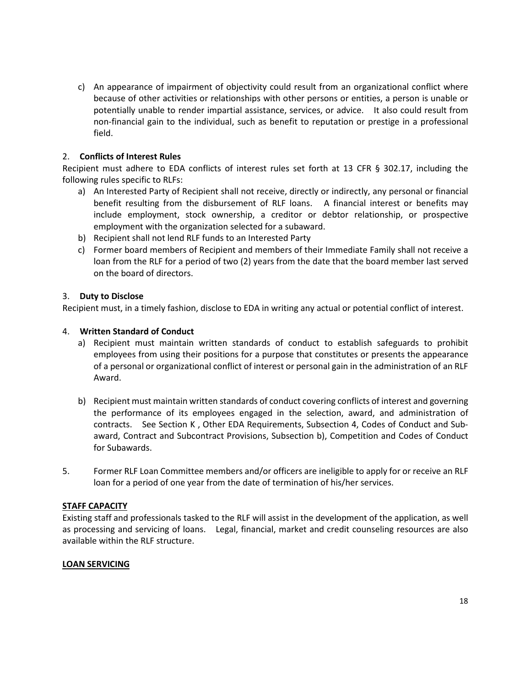c) An appearance of impairment of objectivity could result from an organizational conflict where because of other activities or relationships with other persons or entities, a person is unable or potentially unable to render impartial assistance, services, or advice. It also could result from non-financial gain to the individual, such as benefit to reputation or prestige in a professional field.

# 2. **Conflicts of Interest Rules**

Recipient must adhere to EDA conflicts of interest rules set forth at 13 CFR § 302.17, including the following rules specific to RLFs:

- a) An Interested Party of Recipient shall not receive, directly or indirectly, any personal or financial benefit resulting from the disbursement of RLF loans. A financial interest or benefits may include employment, stock ownership, a creditor or debtor relationship, or prospective employment with the organization selected for a subaward.
- b) Recipient shall not lend RLF funds to an Interested Party
- c) Former board members of Recipient and members of their Immediate Family shall not receive a loan from the RLF for a period of two (2) years from the date that the board member last served on the board of directors.

# 3. **Duty to Disclose**

Recipient must, in a timely fashion, disclose to EDA in writing any actual or potential conflict of interest.

### 4. **Written Standard of Conduct**

- a) Recipient must maintain written standards of conduct to establish safeguards to prohibit employees from using their positions for a purpose that constitutes or presents the appearance of a personal or organizational conflict of interest or personal gain in the administration of an RLF Award.
- b) Recipient must maintain written standards of conduct covering conflicts of interest and governing the performance of its employees engaged in the selection, award, and administration of contracts. See Section K , Other EDA Requirements, Subsection 4, Codes of Conduct and Subaward, Contract and Subcontract Provisions, Subsection b), Competition and Codes of Conduct for Subawards.
- 5. Former RLF Loan Committee members and/or officers are ineligible to apply for or receive an RLF loan for a period of one year from the date of termination of his/her services.

### **STAFF CAPACITY**

Existing staff and professionals tasked to the RLF will assist in the development of the application, as well as processing and servicing of loans. Legal, financial, market and credit counseling resources are also available within the RLF structure.

### **LOAN SERVICING**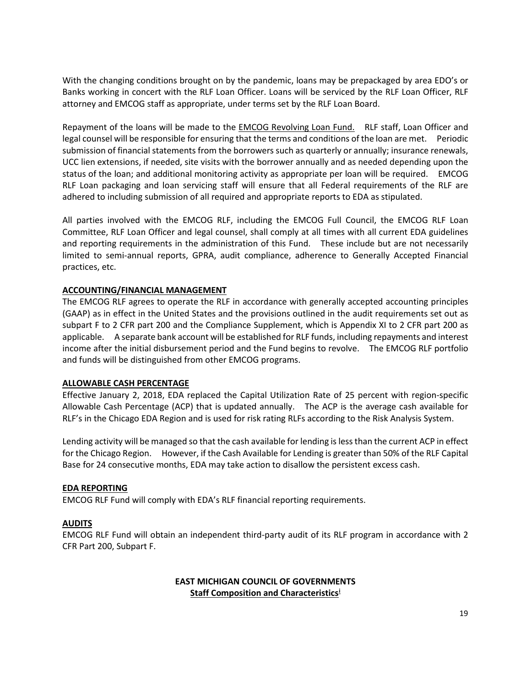With the changing conditions brought on by the pandemic, loans may be prepackaged by area EDO's or Banks working in concert with the RLF Loan Officer. Loans will be serviced by the RLF Loan Officer, RLF attorney and EMCOG staff as appropriate, under terms set by the RLF Loan Board.

Repayment of the loans will be made to the **EMCOG Revolving Loan Fund.** RLF staff, Loan Officer and legal counsel will be responsible for ensuring that the terms and conditions of the loan are met. Periodic submission of financial statements from the borrowers such as quarterly or annually; insurance renewals, UCC lien extensions, if needed, site visits with the borrower annually and as needed depending upon the status of the loan; and additional monitoring activity as appropriate per loan will be required. EMCOG RLF Loan packaging and loan servicing staff will ensure that all Federal requirements of the RLF are adhered to including submission of all required and appropriate reports to EDA as stipulated.

All parties involved with the EMCOG RLF, including the EMCOG Full Council, the EMCOG RLF Loan Committee, RLF Loan Officer and legal counsel, shall comply at all times with all current EDA guidelines and reporting requirements in the administration of this Fund. These include but are not necessarily limited to semi-annual reports, GPRA, audit compliance, adherence to Generally Accepted Financial practices, etc.

# **ACCOUNTING/FINANCIAL MANAGEMENT**

The EMCOG RLF agrees to operate the RLF in accordance with generally accepted accounting principles (GAAP) as in effect in the United States and the provisions outlined in the audit requirements set out as subpart F to 2 CFR part 200 and the Compliance Supplement, which is Appendix XI to 2 CFR part 200 as applicable. A separate bank account will be established for RLF funds, including repayments and interest income after the initial disbursement period and the Fund begins to revolve. The EMCOG RLF portfolio and funds will be distinguished from other EMCOG programs.

### **ALLOWABLE CASH PERCENTAGE**

Effective January 2, 2018, EDA replaced the Capital Utilization Rate of 25 percent with region-specific Allowable Cash Percentage (ACP) that is updated annually. The ACP is the average cash available for RLF's in the Chicago EDA Region and is used for risk rating RLFs according to the Risk Analysis System.

Lending activity will be managed so that the cash available for lending is less than the current ACP in effect for the Chicago Region. However, if the Cash Available for Lending is greater than 50% of the RLF Capital Base for 24 consecutive months, EDA may take action to disallow the persistent excess cash.

#### **EDA REPORTING**

EMCOG RLF Fund will comply with EDA's RLF financial reporting requirements.

### **AUDITS**

EMCOG RLF Fund will obtain an independent third-party audit of its RLF program in accordance with 2 CFR Part 200, Subpart F.

### **EAST MICHIGAN COUNCIL OF GOVERNMENTS Staff Composition and Characteristics[i](#page-19-0)**